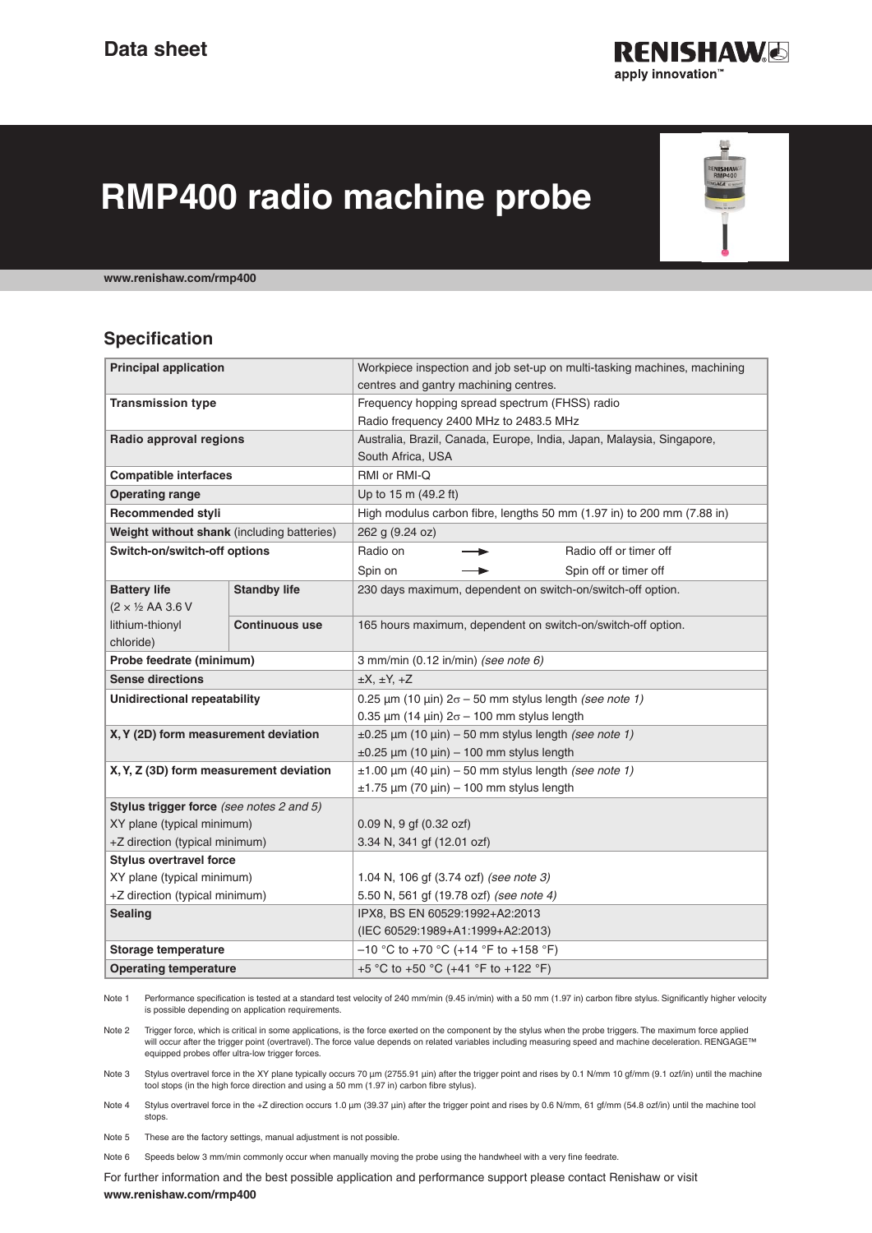

믶 **NISHAV**<br>RMP400

# **RMP400 radio machine probe**

**www.renishaw.com/rmp400**

# **Specification**

| <b>Principal application</b>               |                       | Workpiece inspection and job set-up on multi-tasking machines, machining        |
|--------------------------------------------|-----------------------|---------------------------------------------------------------------------------|
|                                            |                       | centres and gantry machining centres.                                           |
| <b>Transmission type</b>                   |                       | Frequency hopping spread spectrum (FHSS) radio                                  |
|                                            |                       | Radio frequency 2400 MHz to 2483.5 MHz                                          |
| Radio approval regions                     |                       | Australia, Brazil, Canada, Europe, India, Japan, Malaysia, Singapore,           |
|                                            |                       | South Africa, USA                                                               |
| <b>Compatible interfaces</b>               |                       | RMI or RMI-Q                                                                    |
| <b>Operating range</b>                     |                       | Up to 15 m (49.2 ft)                                                            |
| <b>Recommended styli</b>                   |                       | High modulus carbon fibre, lengths 50 mm (1.97 in) to 200 mm (7.88 in)          |
| Weight without shank (including batteries) |                       | 262 g (9.24 oz)                                                                 |
| Switch-on/switch-off options               |                       | Radio on<br>Radio off or timer off                                              |
|                                            |                       | Spin on<br>Spin off or timer off                                                |
| <b>Battery life</b>                        | <b>Standby life</b>   | 230 days maximum, dependent on switch-on/switch-off option.                     |
| $(2 \times \frac{1}{2}$ AA 3.6 V           |                       |                                                                                 |
| lithium-thionyl                            | <b>Continuous use</b> | 165 hours maximum, dependent on switch-on/switch-off option.                    |
| chloride)                                  |                       |                                                                                 |
| Probe feedrate (minimum)                   |                       | 3 mm/min (0.12 in/min) (see note 6)                                             |
| <b>Sense directions</b>                    |                       | $\pm X$ , $\pm Y$ , $\pm Z$                                                     |
| Unidirectional repeatability               |                       | 0.25 $\mu$ m (10 $\mu$ in) 2 $\sigma$ – 50 mm stylus length <i>(see note 1)</i> |
|                                            |                       | 0.35 $\mu$ m (14 $\mu$ in) 2 $\sigma$ – 100 mm stylus length                    |
| X, Y (2D) form measurement deviation       |                       | $\pm 0.25$ µm (10 µin) – 50 mm stylus length (see note 1)                       |
|                                            |                       | $\pm 0.25$ µm (10 µin) - 100 mm stylus length                                   |
| X, Y, Z (3D) form measurement deviation    |                       | $\pm 1.00$ µm (40 µin) – 50 mm stylus length (see note 1)                       |
|                                            |                       | $\pm$ 1.75 µm (70 µin) – 100 mm stylus length                                   |
| Stylus trigger force (see notes 2 and 5)   |                       |                                                                                 |
| XY plane (typical minimum)                 |                       | 0.09 N, 9 gf (0.32 ozf)                                                         |
| +Z direction (typical minimum)             |                       | 3.34 N, 341 gf (12.01 ozf)                                                      |
| <b>Stylus overtravel force</b>             |                       |                                                                                 |
| XY plane (typical minimum)                 |                       | 1.04 N, 106 gf (3.74 ozf) (see note 3)                                          |
| +Z direction (typical minimum)             |                       | 5.50 N, 561 gf (19.78 ozf) (see note 4)                                         |
| <b>Sealing</b>                             |                       | IPX8, BS EN 60529:1992+A2:2013                                                  |
|                                            |                       | (IEC 60529:1989+A1:1999+A2:2013)                                                |
| Storage temperature                        |                       | $-10$ °C to +70 °C (+14 °F to +158 °F)                                          |
| <b>Operating temperature</b>               |                       | +5 °C to +50 °C (+41 °F to +122 °F)                                             |
|                                            |                       |                                                                                 |

Note 1 Performance specification is tested at a standard test velocity of 240 mm/min (9.45 in/min) with a 50 mm (1.97 in) carbon fibre stylus. Significantly higher velocity is possible depending on application requirements.

Note 2 Trigger force, which is critical in some applications, is the force exerted on the component by the stylus when the probe triggers. The maximum force applied will occur after the trigger point (overtravel). The force value depends on related variables including measuring speed and machine deceleration. RENGAGE™ equipped probes offer ultra-low trigger forces.

Note 3 Stylus overtravel force in the XY plane typically occurs 70 μm (2755.91 μin) after the trigger point and rises by 0.1 N/mm 10 gf/mm (9.1 ozf/in) until the machine tool stops (in the high force direction and using a 50 mm (1.97 in) carbon fibre stylus).

Note 4 Stylus overtravel force in the +Z direction occurs 1.0 μm (39.37 μin) after the trigger point and rises by 0.6 N/mm, 61 gf/mm (54.8 ozf/in) until the machine tool stops.

Note 5 These are the factory settings, manual adjustment is not possible.

Note 6 Speeds below 3 mm/min commonly occur when manually moving the probe using the handwheel with a very fine feedrate.

For further information and the best possible application and performance support please contact Renishaw or visit **[www.renishaw.com/rmp400](http://)**